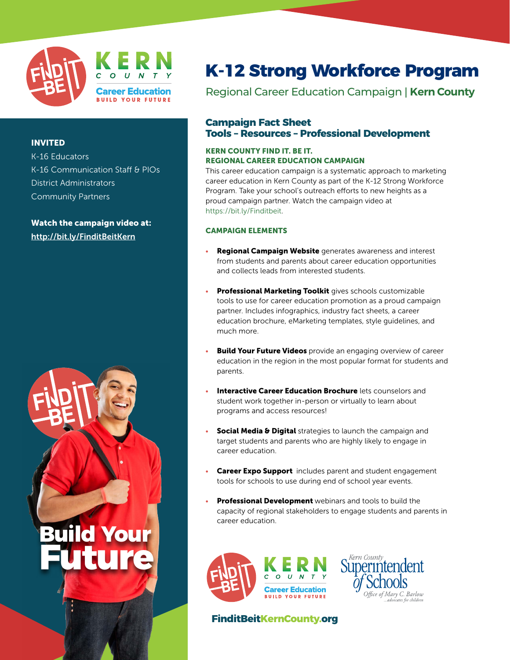

# INVITED

| K-16 Educators                  |
|---------------------------------|
| K-16 Communication Staff & PIOs |
| <b>District Administrators</b>  |
| <b>Community Partners</b>       |

Watch the campaign video at: <http://bit.ly/FinditBeitKern>



# **K-12 Strong Workforce Program**

Regional Career Education Campaign | **Kern County**

### **Campaign Fact Sheet Tools – Resources – Professional Development**

### KERN COUNTY FIND IT. BE IT. REGIONAL CAREER EDUCATION CAMPAIGN

This career education campaign is a systematic approach to marketing career education in Kern County as part of the K-12 Strong Workforce Program. Take your school's outreach efforts to new heights as a proud campaign partner. Watch the campaign video at https://bit.ly/Finditbeit.

### CAMPAIGN ELEMENTS

- Regional Campaign Website generates awareness and interest from students and parents about career education opportunities and collects leads from interested students.
- Professional Marketing Toolkit gives schools customizable tools to use for career education promotion as a proud campaign partner. Includes infographics, industry fact sheets, a career education brochure, eMarketing templates, style guidelines, and much more.
- **Build Your Future Videos** provide an engaging overview of career education in the region in the most popular format for students and parents.
- Interactive Career Education Brochure lets counselors and student work together in-person or virtually to learn about programs and access resources!
- **Social Media & Digital** strategies to launch the campaign and target students and parents who are highly likely to engage in career education.
- Career Expo Support includes parent and student engagement tools for schools to use during end of school year events.
- Professional Development webinars and tools to build the capacity of regional stakeholders to engage students and parents in career education.



**FinditBeitKernCounty.org**